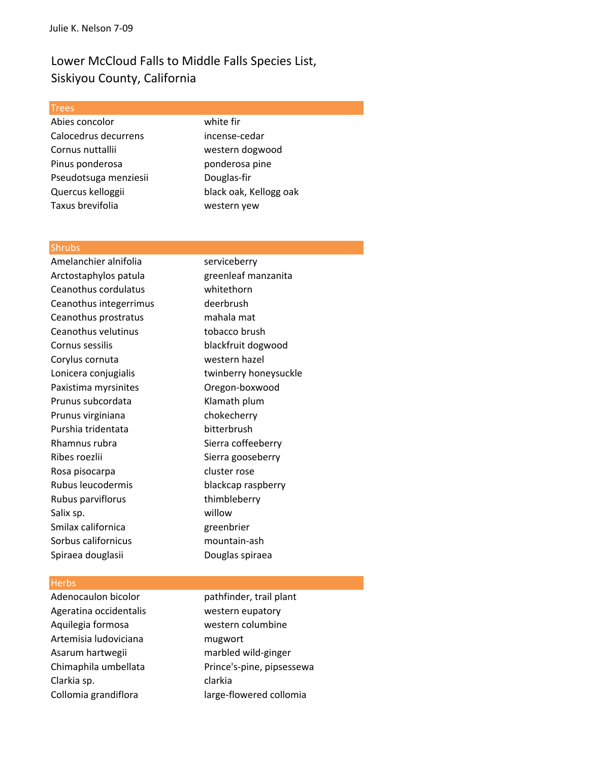# Lower McCloud Falls to Middle Falls Species List, Siskiyou County, California

#### **Trees**

Abies concolor white fir Calocedrus decurrens incense‐cedar Cornus nuttallii western dogwood Pinus ponderosa ponderosa pine Pseudotsuga menziesii **Douglas-fir** Quercus kelloggii black oak, Kellogg oak Taxus brevifolia western yew

#### **Shrubs**

Amelanchier alnifolia entity in the serviceberry Arctostaphylos patula greenleaf manzanita Ceanothus cordulatus whitethorn Ceanothus integerrimus deerbrush Ceanothus prostratus mahala mat Ceanothus velutinus tobacco brush Cornus sessilis blackfruit dogwood Corylus cornuta western hazel Lonicera conjugialis twinberry honeysuckle Paxistima myrsinites **Oregon-boxwood** Prunus subcordata Klamath plum Prunus virginiana chokecherry Purshia tridentata bitterbrush Rhamnus rubra Sierra coffeeberry Ribes roezlii Sierra gooseberry Rosa pisocarpa cluster rose Rubus leucodermis blackcap raspberry Rubus parviflorus thimbleberry Salix sp. willow Smilax californica greenbrier Sorbus californicus mountain‐ash Spiraea douglasii Douglas spiraea

### **Herbs**

Ageratina occidentalis western eupatory Aquilegia formosa western columbine Artemisia ludoviciana mugwort Asarum hartwegii marbled wild-ginger Clarkia sp. clarkia

Adenocaulon bicolor pathfinder, trail plant Chimaphila umbellata Prince's-pine, pipsessewa Collomia grandiflora large-flowered collomia